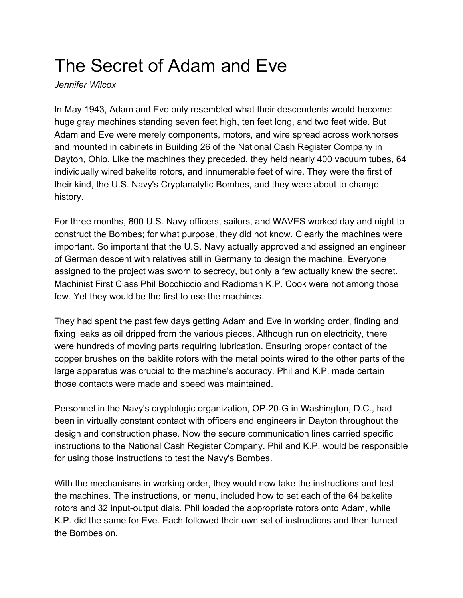## The Secret of Adam and Eve

*Jennifer Wilcox*

In May 1943, Adam and Eve only resembled what their descendents would become: huge gray machines standing seven feet high, ten feet long, and two feet wide. But Adam and Eve were merely components, motors, and wire spread across workhorses and mounted in cabinets in Building 26 of the National Cash Register Company in Dayton, Ohio. Like the machines they preceded, they held nearly 400 vacuum tubes, 64 individually wired bakelite rotors, and innumerable feet of wire. They were the first of their kind, the U.S. Navy's Cryptanalytic Bombes, and they were about to change history.

For three months, 800 U.S. Navy officers, sailors, and WAVES worked day and night to construct the Bombes; for what purpose, they did not know. Clearly the machines were important. So important that the U.S. Navy actually approved and assigned an engineer of German descent with relatives still in Germany to design the machine. Everyone assigned to the project was sworn to secrecy, but only a few actually knew the secret. Machinist First Class Phil Bocchiccio and Radioman K.P. Cook were not among those few. Yet they would be the first to use the machines.

They had spent the past few days getting Adam and Eve in working order, finding and fixing leaks as oil dripped from the various pieces. Although run on electricity, there were hundreds of moving parts requiring lubrication. Ensuring proper contact of the copper brushes on the baklite rotors with the metal points wired to the other parts of the large apparatus was crucial to the machine's accuracy. Phil and K.P. made certain those contacts were made and speed was maintained.

Personnel in the Navy's cryptologic organization, OP-20-G in Washington, D.C., had been in virtually constant contact with officers and engineers in Dayton throughout the design and construction phase. Now the secure communication lines carried specific instructions to the National Cash Register Company. Phil and K.P. would be responsible for using those instructions to test the Navy's Bombes.

With the mechanisms in working order, they would now take the instructions and test the machines. The instructions, or menu, included how to set each of the 64 bakelite rotors and 32 input-output dials. Phil loaded the appropriate rotors onto Adam, while K.P. did the same for Eve. Each followed their own set of instructions and then turned the Bombes on.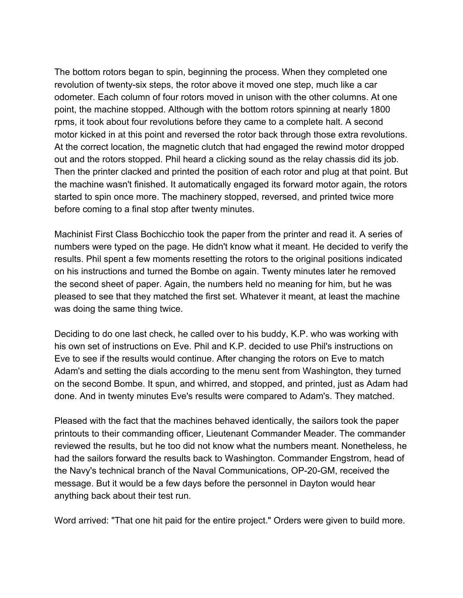The bottom rotors began to spin, beginning the process. When they completed one revolution of twenty-six steps, the rotor above it moved one step, much like a car odometer. Each column of four rotors moved in unison with the other columns. At one point, the machine stopped. Although with the bottom rotors spinning at nearly 1800 rpms, it took about four revolutions before they came to a complete halt. A second motor kicked in at this point and reversed the rotor back through those extra revolutions. At the correct location, the magnetic clutch that had engaged the rewind motor dropped out and the rotors stopped. Phil heard a clicking sound as the relay chassis did its job. Then the printer clacked and printed the position of each rotor and plug at that point. But the machine wasn't finished. It automatically engaged its forward motor again, the rotors started to spin once more. The machinery stopped, reversed, and printed twice more before coming to a final stop after twenty minutes.

Machinist First Class Bochicchio took the paper from the printer and read it. A series of numbers were typed on the page. He didn't know what it meant. He decided to verify the results. Phil spent a few moments resetting the rotors to the original positions indicated on his instructions and turned the Bombe on again. Twenty minutes later he removed the second sheet of paper. Again, the numbers held no meaning for him, but he was pleased to see that they matched the first set. Whatever it meant, at least the machine was doing the same thing twice.

Deciding to do one last check, he called over to his buddy, K.P. who was working with his own set of instructions on Eve. Phil and K.P. decided to use Phil's instructions on Eve to see if the results would continue. After changing the rotors on Eve to match Adam's and setting the dials according to the menu sent from Washington, they turned on the second Bombe. It spun, and whirred, and stopped, and printed, just as Adam had done. And in twenty minutes Eve's results were compared to Adam's. They matched.

Pleased with the fact that the machines behaved identically, the sailors took the paper printouts to their commanding officer, Lieutenant Commander Meader. The commander reviewed the results, but he too did not know what the numbers meant. Nonetheless, he had the sailors forward the results back to Washington. Commander Engstrom, head of the Navy's technical branch of the Naval Communications, OP-20-GM, received the message. But it would be a few days before the personnel in Dayton would hear anything back about their test run.

Word arrived: "That one hit paid for the entire project." Orders were given to build more.